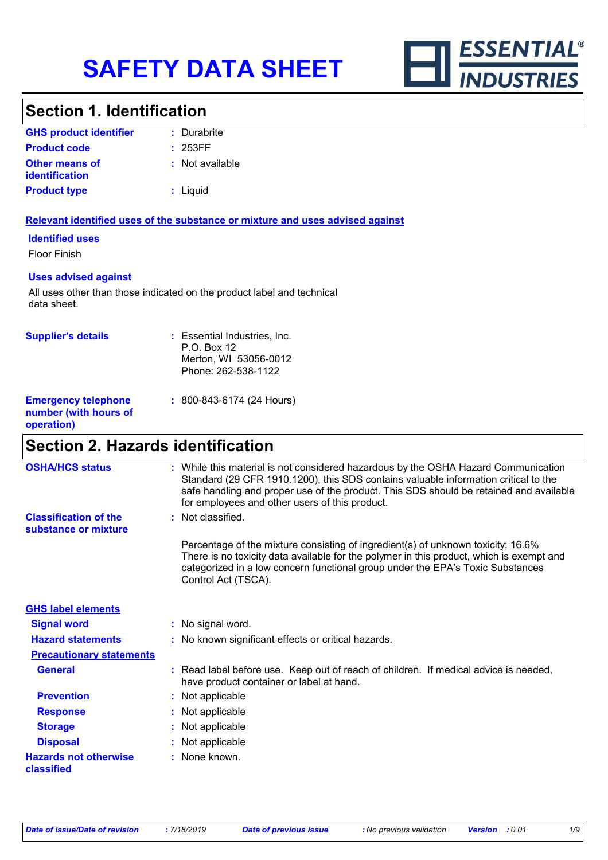

### **Section 1. Identification**

| <b>GHS product identifier</b>                  | : Durabrite     |
|------------------------------------------------|-----------------|
| <b>Product code</b>                            | : 253FF         |
| <b>Other means of</b><br><b>identification</b> | : Not available |
| <b>Product type</b>                            | : Liguid        |

### **Relevant identified uses of the substance or mixture and uses advised against**

### **Identified uses**

Floor Finish

### **Uses advised against**

All uses other than those indicated on the product label and technical data sheet.

| <b>Supplier's details</b>                                         | : Essential Industries, Inc.<br>$P.O.$ Box 12<br>Merton, WI 53056-0012<br>Phone: 262-538-1122 |
|-------------------------------------------------------------------|-----------------------------------------------------------------------------------------------|
| <b>Emergency telephone</b><br>number (with hours of<br>operation) | : 800-843-6174 (24 Hours)                                                                     |

# **Section 2. Hazards identification**

| <b>OSHA/HCS status</b>                               | : While this material is not considered hazardous by the OSHA Hazard Communication<br>Standard (29 CFR 1910.1200), this SDS contains valuable information critical to the<br>safe handling and proper use of the product. This SDS should be retained and available<br>for employees and other users of this product. |
|------------------------------------------------------|-----------------------------------------------------------------------------------------------------------------------------------------------------------------------------------------------------------------------------------------------------------------------------------------------------------------------|
| <b>Classification of the</b><br>substance or mixture | : Not classified.                                                                                                                                                                                                                                                                                                     |
|                                                      | Percentage of the mixture consisting of ingredient(s) of unknown toxicity: 16.6%<br>There is no toxicity data available for the polymer in this product, which is exempt and<br>categorized in a low concern functional group under the EPA's Toxic Substances<br>Control Act (TSCA).                                 |
| <b>GHS label elements</b>                            |                                                                                                                                                                                                                                                                                                                       |
| <b>Signal word</b>                                   | : No signal word.                                                                                                                                                                                                                                                                                                     |
| <b>Hazard statements</b>                             | : No known significant effects or critical hazards.                                                                                                                                                                                                                                                                   |
| <b>Precautionary statements</b>                      |                                                                                                                                                                                                                                                                                                                       |
| <b>General</b>                                       | : Read label before use. Keep out of reach of children. If medical advice is needed,<br>have product container or label at hand.                                                                                                                                                                                      |
| <b>Prevention</b>                                    | : Not applicable                                                                                                                                                                                                                                                                                                      |
| <b>Response</b>                                      | : Not applicable                                                                                                                                                                                                                                                                                                      |
| <b>Storage</b>                                       | : Not applicable                                                                                                                                                                                                                                                                                                      |
| <b>Disposal</b>                                      | : Not applicable                                                                                                                                                                                                                                                                                                      |
| <b>Hazards not otherwise</b><br>classified           | : None known.                                                                                                                                                                                                                                                                                                         |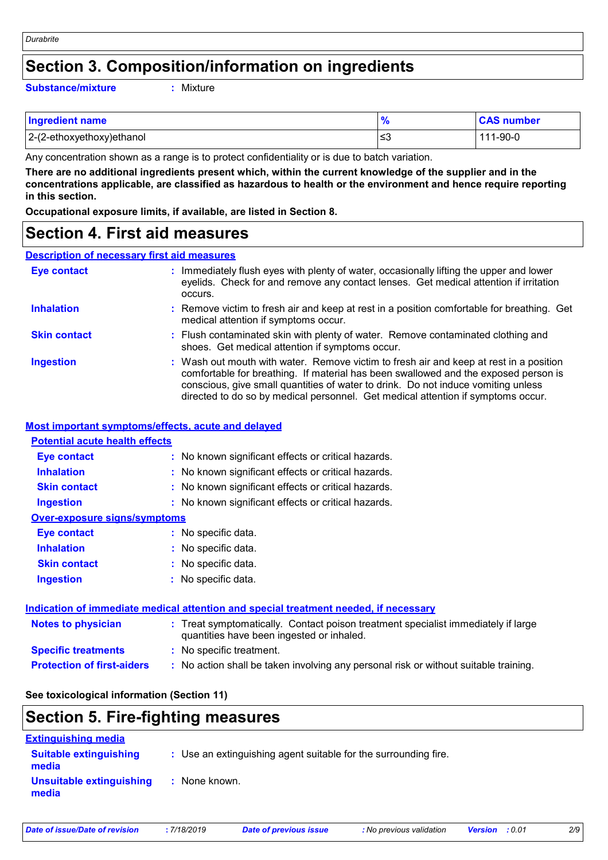# **Section 3. Composition/information on ingredients**

**Substance/mixture :**

: Mixture

| <b>Ingredient name</b>    | $\bullet$ | <b>CAS number</b> |
|---------------------------|-----------|-------------------|
| 2-(2-ethoxyethoxy)ethanol | ≲3        | 111-90-0          |

Any concentration shown as a range is to protect confidentiality or is due to batch variation.

**There are no additional ingredients present which, within the current knowledge of the supplier and in the concentrations applicable, are classified as hazardous to health or the environment and hence require reporting in this section.**

**Occupational exposure limits, if available, are listed in Section 8.**

### **Section 4. First aid measures**

### **Description of necessary first aid measures**

| <b>Eye contact</b>  | : Immediately flush eyes with plenty of water, occasionally lifting the upper and lower<br>eyelids. Check for and remove any contact lenses. Get medical attention if irritation<br>occurs.                                                                                                                                                            |
|---------------------|--------------------------------------------------------------------------------------------------------------------------------------------------------------------------------------------------------------------------------------------------------------------------------------------------------------------------------------------------------|
| <b>Inhalation</b>   | : Remove victim to fresh air and keep at rest in a position comfortable for breathing. Get<br>medical attention if symptoms occur.                                                                                                                                                                                                                     |
| <b>Skin contact</b> | : Flush contaminated skin with plenty of water. Remove contaminated clothing and<br>shoes. Get medical attention if symptoms occur.                                                                                                                                                                                                                    |
| Ingestion           | : Wash out mouth with water. Remove victim to fresh air and keep at rest in a position<br>comfortable for breathing. If material has been swallowed and the exposed person is<br>conscious, give small quantities of water to drink. Do not induce vomiting unless<br>directed to do so by medical personnel. Get medical attention if symptoms occur. |

#### **Most important symptoms/effects, acute and delayed**

### **Notes to physician :** Treat symptomatically. Contact poison treatment specialist immediately if large **Inhalation :** No known significant effects or critical hazards. **Ingestion :** No known significant effects or critical hazards. **Skin contact :** No known significant effects or critical hazards. **Eye contact :** No known significant effects or critical hazards. **Over-exposure signs/symptoms Skin contact Ingestion Inhalation :** No specific data. No specific data. **:** No specific data. **: Eye contact :** No specific data. **Potential acute health effects Indication of immediate medical attention and special treatment needed, if necessary**

| <b>INULGO LU DITVOIGHI</b>        | . Treat symptomalically. Contact poison treatment specialist immediately in large<br>quantities have been ingested or inhaled. |
|-----------------------------------|--------------------------------------------------------------------------------------------------------------------------------|
| <b>Specific treatments</b>        | : No specific treatment.                                                                                                       |
| <b>Protection of first-aiders</b> | : No action shall be taken involving any personal risk or without suitable training.                                           |

### **See toxicological information (Section 11)**

# **Section 5. Fire-fighting measures**

| <b>Extinguishing media</b>             |                                                                 |
|----------------------------------------|-----------------------------------------------------------------|
| <b>Suitable extinguishing</b><br>media | : Use an extinguishing agent suitable for the surrounding fire. |
| Unsuitable extinguishing<br>media      | : None known.                                                   |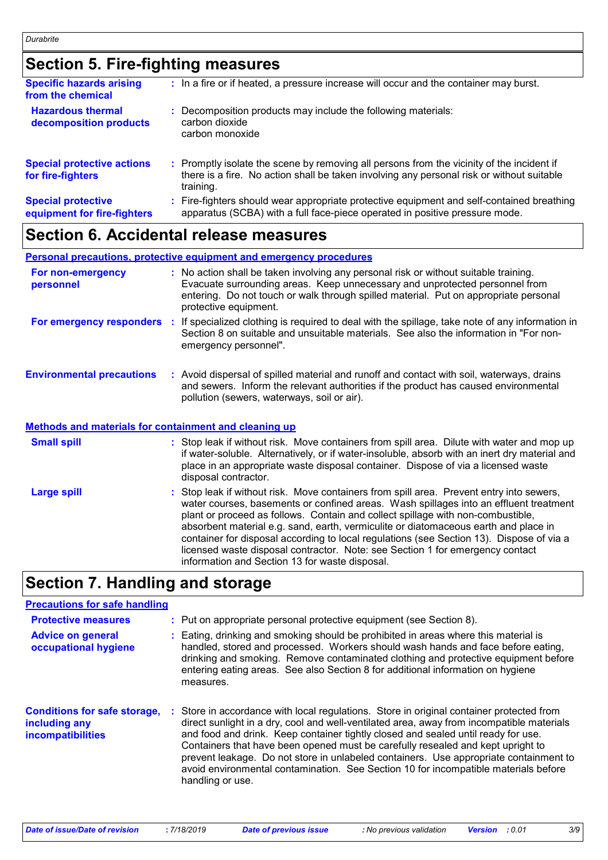# **Section 5. Fire-fighting measures**

| <b>Specific hazards arising</b><br>from the chemical     | : In a fire or if heated, a pressure increase will occur and the container may burst.                                                                                                               |
|----------------------------------------------------------|-----------------------------------------------------------------------------------------------------------------------------------------------------------------------------------------------------|
| <b>Hazardous thermal</b><br>decomposition products       | Decomposition products may include the following materials:<br>carbon dioxide<br>carbon monoxide                                                                                                    |
| <b>Special protective actions</b><br>for fire-fighters   | : Promptly isolate the scene by removing all persons from the vicinity of the incident if<br>there is a fire. No action shall be taken involving any personal risk or without suitable<br>training. |
| <b>Special protective</b><br>equipment for fire-fighters | Fire-fighters should wear appropriate protective equipment and self-contained breathing<br>apparatus (SCBA) with a full face-piece operated in positive pressure mode.                              |

### **Section 6. Accidental release measures**

**Personal precautions, protective equipment and emergency procedures**

| For non-emergency<br>personnel                               |   | : No action shall be taken involving any personal risk or without suitable training.<br>Evacuate surrounding areas. Keep unnecessary and unprotected personnel from<br>entering. Do not touch or walk through spilled material. Put on appropriate personal<br>protective equipment.                                                                        |  |
|--------------------------------------------------------------|---|-------------------------------------------------------------------------------------------------------------------------------------------------------------------------------------------------------------------------------------------------------------------------------------------------------------------------------------------------------------|--|
| For emergency responders                                     | ÷ | If specialized clothing is required to deal with the spillage, take note of any information in<br>Section 8 on suitable and unsuitable materials. See also the information in "For non-<br>emergency personnel".                                                                                                                                            |  |
| <b>Environmental precautions</b>                             |   | : Avoid dispersal of spilled material and runoff and contact with soil, waterways, drains<br>and sewers. Inform the relevant authorities if the product has caused environmental<br>pollution (sewers, waterways, soil or air).                                                                                                                             |  |
| <b>Methods and materials for containment and cleaning up</b> |   |                                                                                                                                                                                                                                                                                                                                                             |  |
| <b>Small spill</b>                                           |   | : Stop leak if without risk. Move containers from spill area. Dilute with water and mop up<br>if water-soluble. Alternatively, or if water-insoluble, absorb with an inert dry material and<br>place in an appropriate waste disposal container. Dispose of via a licensed waste<br>disposal contractor.                                                    |  |
| <b>Large spill</b>                                           |   | : Stop leak if without risk. Move containers from spill area. Prevent entry into sewers,<br>water courses, basements or confined areas. Wash spillages into an effluent treatment<br>plant or proceed as follows. Contain and collect spillage with non-combustible,<br>absorbent material e.g. sand, earth, vermiculite or diatomaceous earth and place in |  |

container for disposal according to local regulations (see Section 13). Dispose of via a licensed waste disposal contractor. Note: see Section 1 for emergency contact

# **Section 7. Handling and storage**

#### **Precautions for safe handling**

| <b>Protective measures</b>                                                       |    | : Put on appropriate personal protective equipment (see Section 8).                                                                                                                                                                                                                                                                                                                                                                                                                                                                                             |
|----------------------------------------------------------------------------------|----|-----------------------------------------------------------------------------------------------------------------------------------------------------------------------------------------------------------------------------------------------------------------------------------------------------------------------------------------------------------------------------------------------------------------------------------------------------------------------------------------------------------------------------------------------------------------|
| <b>Advice on general</b><br>occupational hygiene                                 |    | : Eating, drinking and smoking should be prohibited in areas where this material is<br>handled, stored and processed. Workers should wash hands and face before eating,<br>drinking and smoking. Remove contaminated clothing and protective equipment before<br>entering eating areas. See also Section 8 for additional information on hygiene<br>measures.                                                                                                                                                                                                   |
| <b>Conditions for safe storage,</b><br>including any<br><b>incompatibilities</b> | ÷. | Store in accordance with local regulations. Store in original container protected from<br>direct sunlight in a dry, cool and well-ventilated area, away from incompatible materials<br>and food and drink. Keep container tightly closed and sealed until ready for use.<br>Containers that have been opened must be carefully resealed and kept upright to<br>prevent leakage. Do not store in unlabeled containers. Use appropriate containment to<br>avoid environmental contamination. See Section 10 for incompatible materials before<br>handling or use. |

information and Section 13 for waste disposal.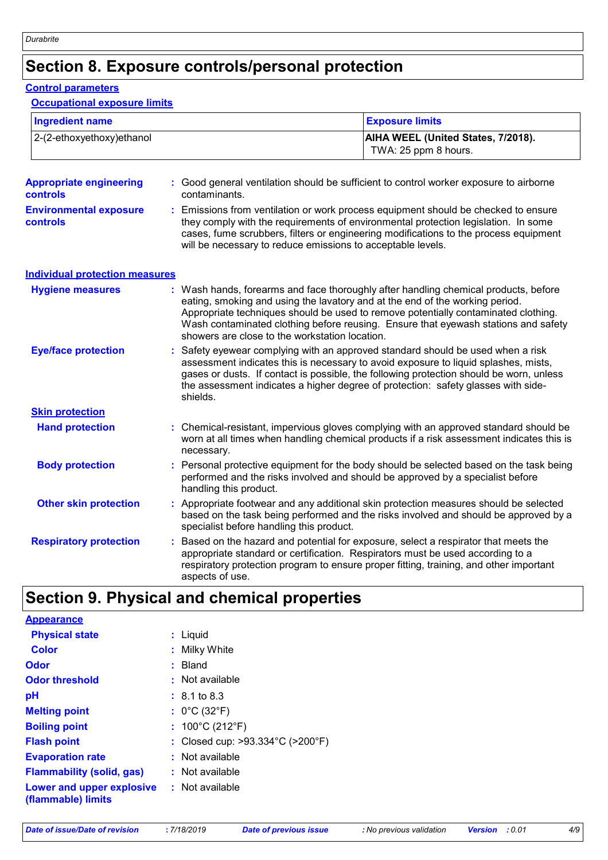# **Section 8. Exposure controls/personal protection**

#### **Control parameters**

### **Occupational exposure limits**

| <b>Ingredient name</b>                           |                                                             |                                                                                                                                                                                                                                                                                                                                                                  | <b>Exposure limits</b>                                                                                                                                                                                                                                           |  |
|--------------------------------------------------|-------------------------------------------------------------|------------------------------------------------------------------------------------------------------------------------------------------------------------------------------------------------------------------------------------------------------------------------------------------------------------------------------------------------------------------|------------------------------------------------------------------------------------------------------------------------------------------------------------------------------------------------------------------------------------------------------------------|--|
| 2-(2-ethoxyethoxy)ethanol                        |                                                             |                                                                                                                                                                                                                                                                                                                                                                  | AIHA WEEL (United States, 7/2018).<br>TWA: 25 ppm 8 hours.                                                                                                                                                                                                       |  |
| <b>Appropriate engineering</b><br>controls       |                                                             | contaminants.                                                                                                                                                                                                                                                                                                                                                    | : Good general ventilation should be sufficient to control worker exposure to airborne                                                                                                                                                                           |  |
| <b>Environmental exposure</b><br><b>controls</b> | will be necessary to reduce emissions to acceptable levels. |                                                                                                                                                                                                                                                                                                                                                                  | : Emissions from ventilation or work process equipment should be checked to ensure<br>they comply with the requirements of environmental protection legislation. In some<br>cases, fume scrubbers, filters or engineering modifications to the process equipment |  |
| <b>Individual protection measures</b>            |                                                             |                                                                                                                                                                                                                                                                                                                                                                  |                                                                                                                                                                                                                                                                  |  |
| <b>Hygiene measures</b>                          |                                                             | eating, smoking and using the lavatory and at the end of the working period.<br>showers are close to the workstation location.                                                                                                                                                                                                                                   | : Wash hands, forearms and face thoroughly after handling chemical products, before<br>Appropriate techniques should be used to remove potentially contaminated clothing.<br>Wash contaminated clothing before reusing. Ensure that eyewash stations and safety  |  |
| <b>Eye/face protection</b>                       | ÷.                                                          | Safety eyewear complying with an approved standard should be used when a risk<br>assessment indicates this is necessary to avoid exposure to liquid splashes, mists,<br>gases or dusts. If contact is possible, the following protection should be worn, unless<br>the assessment indicates a higher degree of protection: safety glasses with side-<br>shields. |                                                                                                                                                                                                                                                                  |  |
| <b>Skin protection</b>                           |                                                             |                                                                                                                                                                                                                                                                                                                                                                  |                                                                                                                                                                                                                                                                  |  |
| <b>Hand protection</b>                           |                                                             | Chemical-resistant, impervious gloves complying with an approved standard should be<br>worn at all times when handling chemical products if a risk assessment indicates this is<br>necessary.                                                                                                                                                                    |                                                                                                                                                                                                                                                                  |  |
| <b>Body protection</b>                           |                                                             | Personal protective equipment for the body should be selected based on the task being<br>performed and the risks involved and should be approved by a specialist before<br>handling this product.                                                                                                                                                                |                                                                                                                                                                                                                                                                  |  |
| <b>Other skin protection</b>                     |                                                             | : Appropriate footwear and any additional skin protection measures should be selected<br>based on the task being performed and the risks involved and should be approved by a<br>specialist before handling this product.                                                                                                                                        |                                                                                                                                                                                                                                                                  |  |
| <b>Respiratory protection</b>                    |                                                             | appropriate standard or certification. Respirators must be used according to a<br>aspects of use.                                                                                                                                                                                                                                                                | Based on the hazard and potential for exposure, select a respirator that meets the<br>respiratory protection program to ensure proper fitting, training, and other important                                                                                     |  |

# **Section 9. Physical and chemical properties**

| <b>Appearance</b>                               |                                                       |
|-------------------------------------------------|-------------------------------------------------------|
| <b>Physical state</b>                           | : Liquid                                              |
| <b>Color</b>                                    | : Milky White                                         |
| <b>Odor</b>                                     | : Bland                                               |
| <b>Odor threshold</b>                           | : Not available                                       |
| pH                                              | $: 8.1 \text{ to } 8.3$                               |
| <b>Melting point</b>                            | : $0^{\circ}$ C (32 $^{\circ}$ F)                     |
| <b>Boiling point</b>                            | : $100^{\circ}$ C (212 $^{\circ}$ F)                  |
| <b>Flash point</b>                              | : Closed cup: $>93.334^{\circ}$ C ( $>200^{\circ}$ F) |
| <b>Evaporation rate</b>                         | : Not available                                       |
| <b>Flammability (solid, gas)</b>                | : Not available                                       |
| Lower and upper explosive<br>(flammable) limits | $:$ Not available                                     |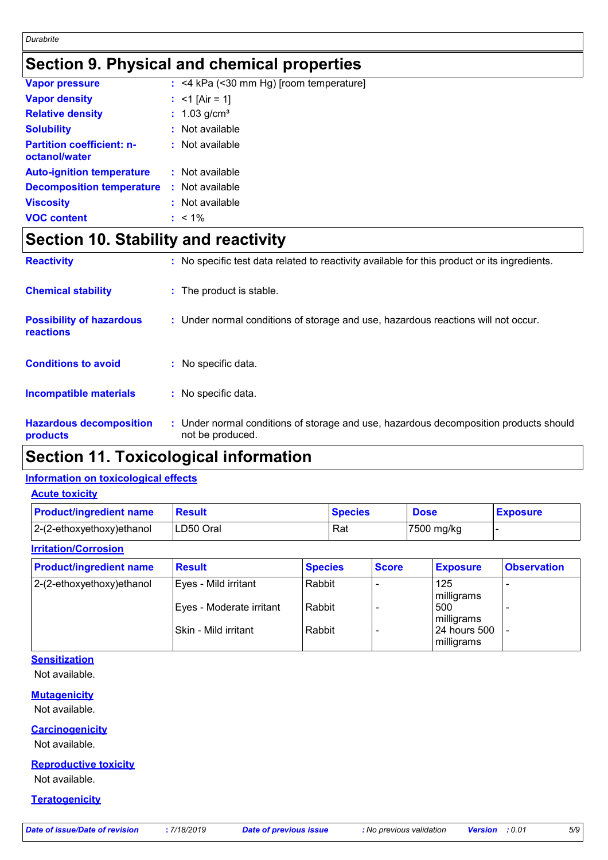# **Section 9. Physical and chemical properties**

| <b>Vapor pressure</b>                             | $:$ <4 kPa (<30 mm Hg) [room temperature] |
|---------------------------------------------------|-------------------------------------------|
| <b>Vapor density</b>                              | : $<$ 1 [Air = 1]                         |
| <b>Relative density</b>                           | : $1.03$ g/cm <sup>3</sup>                |
| <b>Solubility</b>                                 | $:$ Not available                         |
| <b>Partition coefficient: n-</b><br>octanol/water | $:$ Not available                         |
| <b>Auto-ignition temperature</b>                  | $:$ Not available                         |
| <b>Decomposition temperature</b>                  | $:$ Not available                         |
| <b>Viscosity</b>                                  | : Not available                           |
| <b>VOC content</b>                                | $: 1\%$                                   |

# **Section 10. Stability and reactivity**

| <b>Reactivity</b>                                   | : No specific test data related to reactivity available for this product or its ingredients.              |
|-----------------------------------------------------|-----------------------------------------------------------------------------------------------------------|
| <b>Chemical stability</b>                           | : The product is stable.                                                                                  |
| <b>Possibility of hazardous</b><br><b>reactions</b> | : Under normal conditions of storage and use, hazardous reactions will not occur.                         |
| <b>Conditions to avoid</b>                          | : No specific data.                                                                                       |
| <b>Incompatible materials</b>                       | : No specific data.                                                                                       |
| <b>Hazardous decomposition</b><br>products          | : Under normal conditions of storage and use, hazardous decomposition products should<br>not be produced. |

# **Section 11. Toxicological information**

### **Information on toxicological effects**

|  |  |  | <b>Acute toxicity</b> |
|--|--|--|-----------------------|
|--|--|--|-----------------------|

| <b>Product/ingredient name</b> | <b>Result</b> | <b>Species</b> | <b>Dose</b> | <b>Exposure</b> |
|--------------------------------|---------------|----------------|-------------|-----------------|
| 2-(2-ethoxyethoxy)ethanol      | LD50 Oral     | Rat            | 7500 mg/kg  |                 |

### **Irritation/Corrosion**

| <b>Product/ingredient name</b> | <b>Result</b>            | <b>Species</b> | <b>Score</b> | <b>Exposure</b>            | <b>Observation</b>       |
|--------------------------------|--------------------------|----------------|--------------|----------------------------|--------------------------|
| $ 2-(2-ethoxyethoxy)e$ thanol  | Eyes - Mild irritant     | Rabbit         |              | 125<br>milligrams          | $\overline{\phantom{0}}$ |
|                                | Eyes - Moderate irritant | Rabbit         |              | 500<br>milligrams          |                          |
|                                | l Skin - Mild irritant   | Rabbit         |              | 24 hours 500<br>milligrams |                          |

### **Sensitization**

Not available.

### **Mutagenicity**

Not available.

### **Carcinogenicity**

Not available.

### **Reproductive toxicity**

Not available.

### **Teratogenicity**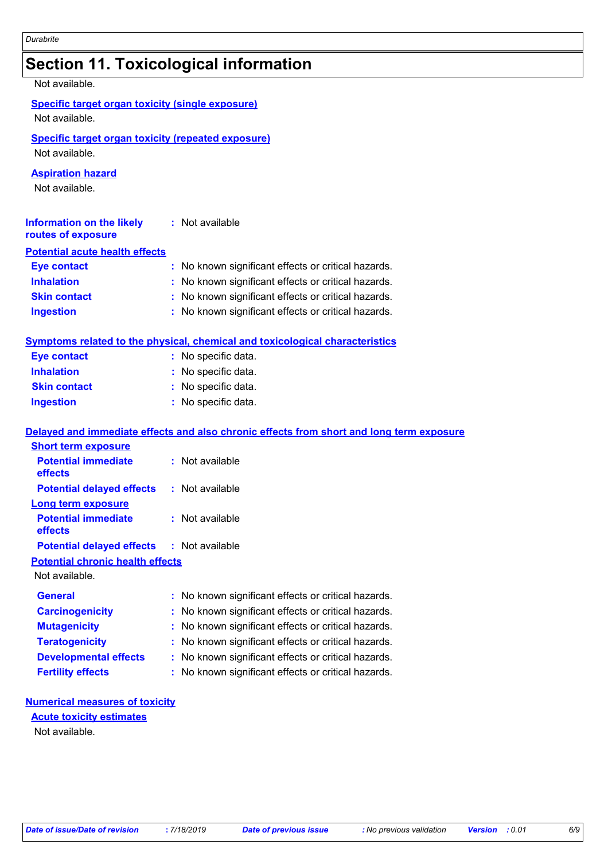# **Section 11. Toxicological information**

Not available.

Not available.

### **Specific target organ toxicity (repeated exposure)**

Not available.

### **Aspiration hazard**

Not available.

| <b>Information on the likely</b><br>routes of exposure | : Not available                                     |
|--------------------------------------------------------|-----------------------------------------------------|
| <b>Potential acute health effects</b>                  |                                                     |
| <b>Eye contact</b>                                     | : No known significant effects or critical hazards. |
| <b>Inhalation</b>                                      | : No known significant effects or critical hazards. |
| <b>Skin contact</b>                                    | : No known significant effects or critical hazards. |
| <b>Ingestion</b>                                       | : No known significant effects or critical hazards. |

### **Symptoms related to the physical, chemical and toxicological characteristics**

| <b>Eye contact</b>  | : No specific data. |
|---------------------|---------------------|
| <b>Inhalation</b>   | : No specific data. |
| <b>Skin contact</b> | : No specific data. |
| <b>Ingestion</b>    | : No specific data. |

### **Delayed and immediate effects and also chronic effects from short and long term exposure**

| <b>Short term exposure</b>                       |                                                     |
|--------------------------------------------------|-----------------------------------------------------|
| <b>Potential immediate</b><br><b>effects</b>     | : Not available                                     |
| <b>Potential delayed effects</b>                 | : Not available                                     |
| Long term exposure                               |                                                     |
| <b>Potential immediate</b><br><b>effects</b>     | : Not available                                     |
| <b>Potential delayed effects : Not available</b> |                                                     |
| <b>Potential chronic health effects</b>          |                                                     |
| Not available.                                   |                                                     |
| <b>General</b>                                   | : No known significant effects or critical hazards. |
| <b>Carcinogenicity</b>                           | : No known significant effects or critical hazards. |
| <b>Mutagenicity</b>                              | : No known significant effects or critical hazards. |
| <b>Teratogenicity</b>                            | : No known significant effects or critical hazards. |
| <b>Developmental effects</b>                     | : No known significant effects or critical hazards. |
| <b>Fertility effects</b>                         | : No known significant effects or critical hazards. |

### **Numerical measures of toxicity**

### **Acute toxicity estimates**

Not available.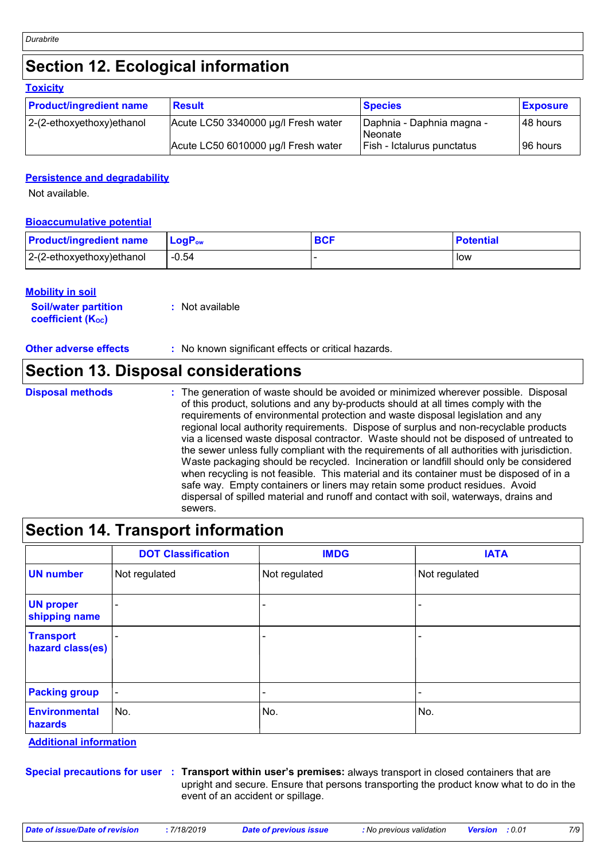# **Section 12. Ecological information**

| <b>Toxicity</b>                |                                     |                                      |                 |  |  |
|--------------------------------|-------------------------------------|--------------------------------------|-----------------|--|--|
| <b>Product/ingredient name</b> | <b>Result</b>                       | <b>Species</b>                       | <b>Exposure</b> |  |  |
| $ 2-(2-ethoxyethoxy)e$ thanol  | Acute LC50 3340000 µg/l Fresh water | Daphnia - Daphnia magna -<br>Neonate | 48 hours        |  |  |
|                                | Acute LC50 6010000 µg/l Fresh water | Fish - Ictalurus punctatus           | 96 hours        |  |  |

### **Persistence and degradability**

Not available.

### **Bioaccumulative potential**

| <b>Product/ingredient name</b> | $LogPow$ | <b>BCF</b> | <b>Potential</b> |
|--------------------------------|----------|------------|------------------|
| $ 2-(2-ethoxyethoxy)e$ thanol  | $-0.54$  |            | low              |

### **Mobility in soil**

| <b>Soil/water partition</b> | : Not available |
|-----------------------------|-----------------|
| <b>coefficient (Koc)</b>    |                 |

**Other adverse effects** : No known significant effects or critical hazards.

### **Section 13. Disposal considerations**

```
Disposal methods :
```
The generation of waste should be avoided or minimized wherever possible. Disposal of this product, solutions and any by-products should at all times comply with the requirements of environmental protection and waste disposal legislation and any regional local authority requirements. Dispose of surplus and non-recyclable products via a licensed waste disposal contractor. Waste should not be disposed of untreated to the sewer unless fully compliant with the requirements of all authorities with jurisdiction. Waste packaging should be recycled. Incineration or landfill should only be considered when recycling is not feasible. This material and its container must be disposed of in a safe way. Empty containers or liners may retain some product residues. Avoid dispersal of spilled material and runoff and contact with soil, waterways, drains and sewers.

### **Section 14. Transport information**

|                                      | <b>DOT Classification</b> | <b>IMDG</b>   | <b>IATA</b>   |
|--------------------------------------|---------------------------|---------------|---------------|
| <b>UN number</b>                     | Not regulated             | Not regulated | Not regulated |
| <b>UN proper</b><br>shipping name    | $\blacksquare$            |               |               |
| <b>Transport</b><br>hazard class(es) |                           |               |               |
| <b>Packing group</b>                 | $\blacksquare$            | ۰             |               |
| <b>Environmental</b><br>hazards      | No.                       | No.           | No.           |

**Additional information**

**Special precautions for user Transport within user's premises:** always transport in closed containers that are **:** upright and secure. Ensure that persons transporting the product know what to do in the event of an accident or spillage.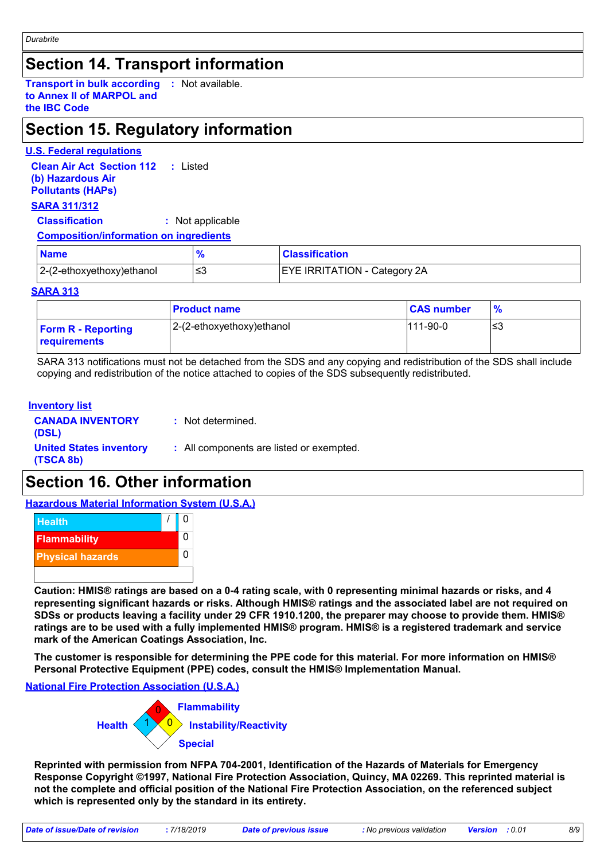## **Section 14. Transport information**

**Transport in bulk according :** Not available. **to Annex II of MARPOL and the IBC Code**

# **Section 15. Regulatory information**

### **U.S. Federal regulations**

**Clean Air Act Section 112 (b) Hazardous Air Pollutants (HAPs) :** Listed

### **SARA 311/312**

**Classification :** Not applicable

### **Composition/information on ingredients**

| <b>Name</b>               | $\mathbf{o}_{l}$ | <b>Classification</b>               |  |
|---------------------------|------------------|-------------------------------------|--|
| 2-(2-ethoxyethoxy)ethanol | ≃                | <b>EYE IRRITATION - Category 2A</b> |  |

### **SARA 313**

|                                           | <b>Product name</b>       | <b>CAS number</b> | $\frac{9}{6}$ |
|-------------------------------------------|---------------------------|-------------------|---------------|
| <b>Form R - Reporting</b><br>requirements | 2-(2-ethoxyethoxy)ethanol | $111-90-0$        | ≤3            |

SARA 313 notifications must not be detached from the SDS and any copying and redistribution of the SDS shall include copying and redistribution of the notice attached to copies of the SDS subsequently redistributed.

### **Inventory list**

| <b>CANADA INVENTORY</b><br>(DSL)            | : Not determined.                        |
|---------------------------------------------|------------------------------------------|
| <b>United States inventory</b><br>(TSCA 8b) | : All components are listed or exempted. |

## **Section 16. Other information**

**Hazardous Material Information System (U.S.A.)**



**Caution: HMIS® ratings are based on a 0-4 rating scale, with 0 representing minimal hazards or risks, and 4 representing significant hazards or risks. Although HMIS® ratings and the associated label are not required on SDSs or products leaving a facility under 29 CFR 1910.1200, the preparer may choose to provide them. HMIS® ratings are to be used with a fully implemented HMIS® program. HMIS® is a registered trademark and service mark of the American Coatings Association, Inc.**

**The customer is responsible for determining the PPE code for this material. For more information on HMIS® Personal Protective Equipment (PPE) codes, consult the HMIS® Implementation Manual.**

### **National Fire Protection Association (U.S.A.)**



**Reprinted with permission from NFPA 704-2001, Identification of the Hazards of Materials for Emergency Response Copyright ©1997, National Fire Protection Association, Quincy, MA 02269. This reprinted material is not the complete and official position of the National Fire Protection Association, on the referenced subject which is represented only by the standard in its entirety.**